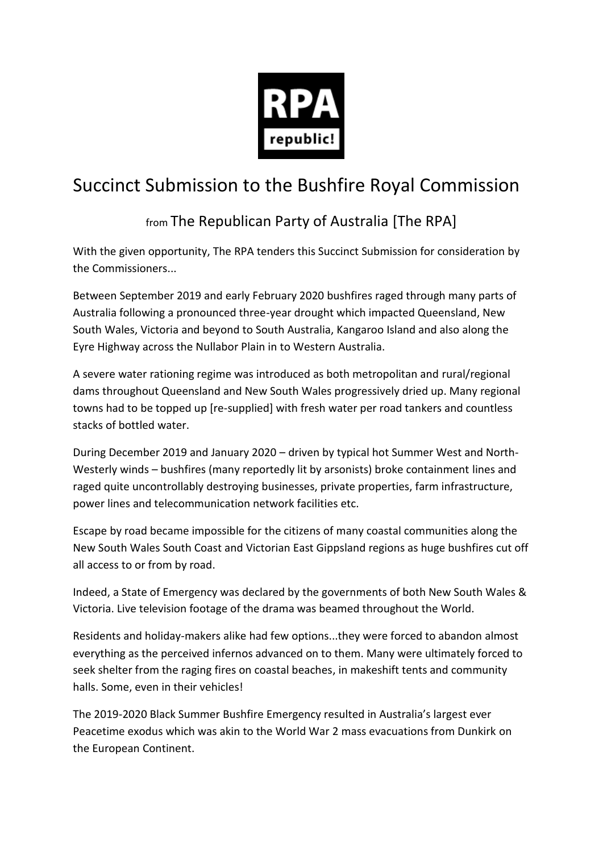

## Succinct Submission to the Bushfire Royal Commission

## from The Republican Party of Australia [The RPA]

With the given opportunity, The RPA tenders this Succinct Submission for consideration by the Commissioners...

Between September 2019 and early February 2020 bushfires raged through many parts of Australia following a pronounced three-year drought which impacted Queensland, New South Wales, Victoria and beyond to South Australia, Kangaroo Island and also along the Eyre Highway across the Nullabor Plain in to Western Australia.

A severe water rationing regime was introduced as both metropolitan and rural/regional dams throughout Queensland and New South Wales progressively dried up. Many regional towns had to be topped up [re-supplied] with fresh water per road tankers and countless stacks of bottled water.

During December 2019 and January 2020 – driven by typical hot Summer West and North-Westerly winds – bushfires (many reportedly lit by arsonists) broke containment lines and raged quite uncontrollably destroying businesses, private properties, farm infrastructure, power lines and telecommunication network facilities etc.

Escape by road became impossible for the citizens of many coastal communities along the New South Wales South Coast and Victorian East Gippsland regions as huge bushfires cut off all access to or from by road.

Indeed, a State of Emergency was declared by the governments of both New South Wales & Victoria. Live television footage of the drama was beamed throughout the World.

Residents and holiday-makers alike had few options...they were forced to abandon almost everything as the perceived infernos advanced on to them. Many were ultimately forced to seek shelter from the raging fires on coastal beaches, in makeshift tents and community halls. Some, even in their vehicles!

The 2019-2020 Black Summer Bushfire Emergency resulted in Australia's largest ever Peacetime exodus which was akin to the World War 2 mass evacuations from Dunkirk on the European Continent.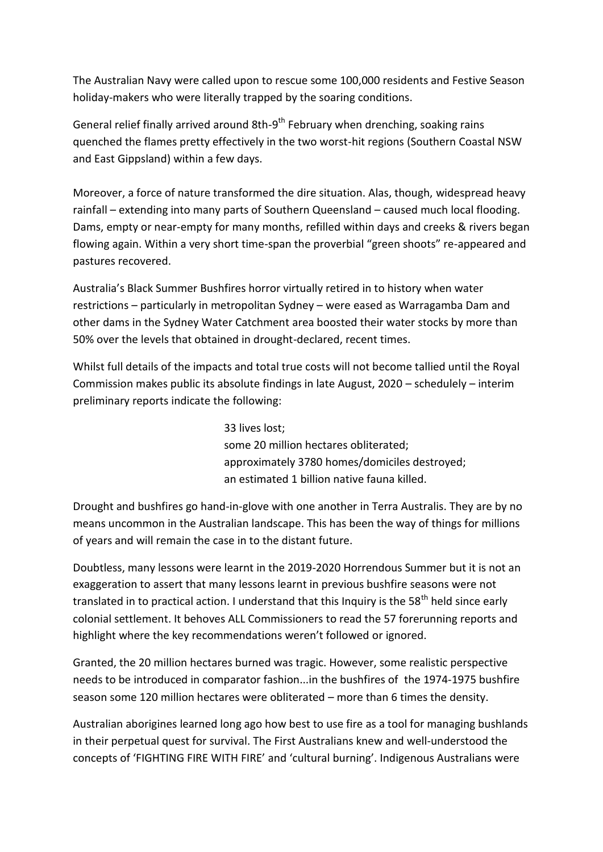The Australian Navy were called upon to rescue some 100,000 residents and Festive Season holiday-makers who were literally trapped by the soaring conditions.

General relief finally arrived around 8th-9<sup>th</sup> February when drenching, soaking rains quenched the flames pretty effectively in the two worst-hit regions (Southern Coastal NSW and East Gippsland) within a few days.

Moreover, a force of nature transformed the dire situation. Alas, though, widespread heavy rainfall – extending into many parts of Southern Queensland – caused much local flooding. Dams, empty or near-empty for many months, refilled within days and creeks & rivers began flowing again. Within a very short time-span the proverbial "green shoots" re-appeared and pastures recovered.

Australia's Black Summer Bushfires horror virtually retired in to history when water restrictions – particularly in metropolitan Sydney – were eased as Warragamba Dam and other dams in the Sydney Water Catchment area boosted their water stocks by more than 50% over the levels that obtained in drought-declared, recent times.

Whilst full details of the impacts and total true costs will not become tallied until the Royal Commission makes public its absolute findings in late August, 2020 – schedulely – interim preliminary reports indicate the following:

> 33 lives lost; some 20 million hectares obliterated; approximately 3780 homes/domiciles destroyed; an estimated 1 billion native fauna killed.

Drought and bushfires go hand-in-glove with one another in Terra Australis. They are by no means uncommon in the Australian landscape. This has been the way of things for millions of years and will remain the case in to the distant future.

Doubtless, many lessons were learnt in the 2019-2020 Horrendous Summer but it is not an exaggeration to assert that many lessons learnt in previous bushfire seasons were not translated in to practical action. I understand that this Inquiry is the  $58<sup>th</sup>$  held since early colonial settlement. It behoves ALL Commissioners to read the 57 forerunning reports and highlight where the key recommendations weren't followed or ignored.

Granted, the 20 million hectares burned was tragic. However, some realistic perspective needs to be introduced in comparator fashion...in the bushfires of the 1974-1975 bushfire season some 120 million hectares were obliterated – more than 6 times the density.

Australian aborigines learned long ago how best to use fire as a tool for managing bushlands in their perpetual quest for survival. The First Australians knew and well-understood the concepts of 'FIGHTING FIRE WITH FIRE' and 'cultural burning'. Indigenous Australians were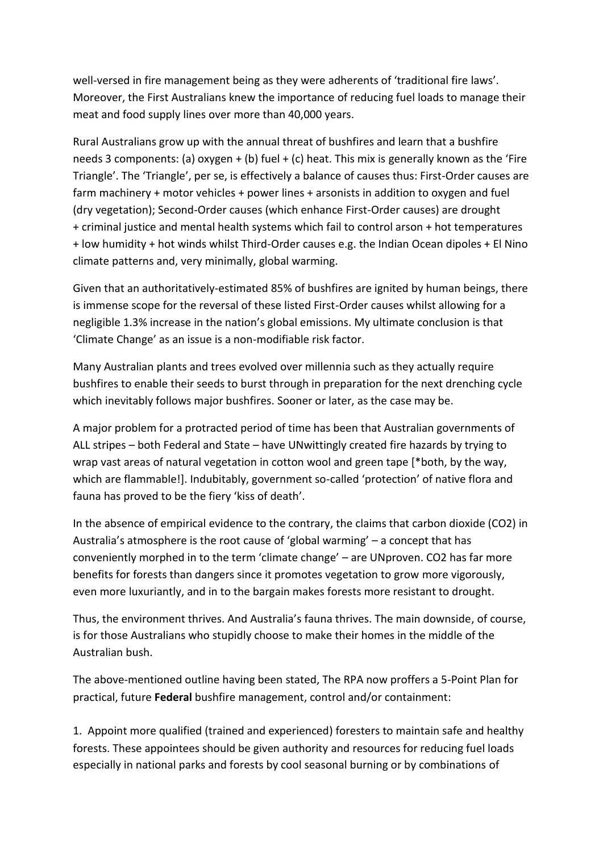well-versed in fire management being as they were adherents of 'traditional fire laws'. Moreover, the First Australians knew the importance of reducing fuel loads to manage their meat and food supply lines over more than 40,000 years.

Rural Australians grow up with the annual threat of bushfires and learn that a bushfire needs 3 components: (a) oxygen + (b) fuel + (c) heat. This mix is generally known as the 'Fire Triangle'. The 'Triangle', per se, is effectively a balance of causes thus: First-Order causes are farm machinery + motor vehicles + power lines + arsonists in addition to oxygen and fuel (dry vegetation); Second-Order causes (which enhance First-Order causes) are drought + criminal justice and mental health systems which fail to control arson + hot temperatures + low humidity + hot winds whilst Third-Order causes e.g. the Indian Ocean dipoles + El Nino climate patterns and, very minimally, global warming.

Given that an authoritatively-estimated 85% of bushfires are ignited by human beings, there is immense scope for the reversal of these listed First-Order causes whilst allowing for a negligible 1.3% increase in the nation's global emissions. My ultimate conclusion is that 'Climate Change' as an issue is a non-modifiable risk factor.

Many Australian plants and trees evolved over millennia such as they actually require bushfires to enable their seeds to burst through in preparation for the next drenching cycle which inevitably follows major bushfires. Sooner or later, as the case may be.

A major problem for a protracted period of time has been that Australian governments of ALL stripes – both Federal and State – have UNwittingly created fire hazards by trying to wrap vast areas of natural vegetation in cotton wool and green tape [\*both, by the way, which are flammable!]. Indubitably, government so-called 'protection' of native flora and fauna has proved to be the fiery 'kiss of death'.

In the absence of empirical evidence to the contrary, the claims that carbon dioxide (CO2) in Australia's atmosphere is the root cause of 'global warming' – a concept that has conveniently morphed in to the term 'climate change' – are UNproven. CO2 has far more benefits for forests than dangers since it promotes vegetation to grow more vigorously, even more luxuriantly, and in to the bargain makes forests more resistant to drought.

Thus, the environment thrives. And Australia's fauna thrives. The main downside, of course, is for those Australians who stupidly choose to make their homes in the middle of the Australian bush.

The above-mentioned outline having been stated, The RPA now proffers a 5-Point Plan for practical, future **Federal** bushfire management, control and/or containment:

1. Appoint more qualified (trained and experienced) foresters to maintain safe and healthy forests. These appointees should be given authority and resources for reducing fuel loads especially in national parks and forests by cool seasonal burning or by combinations of